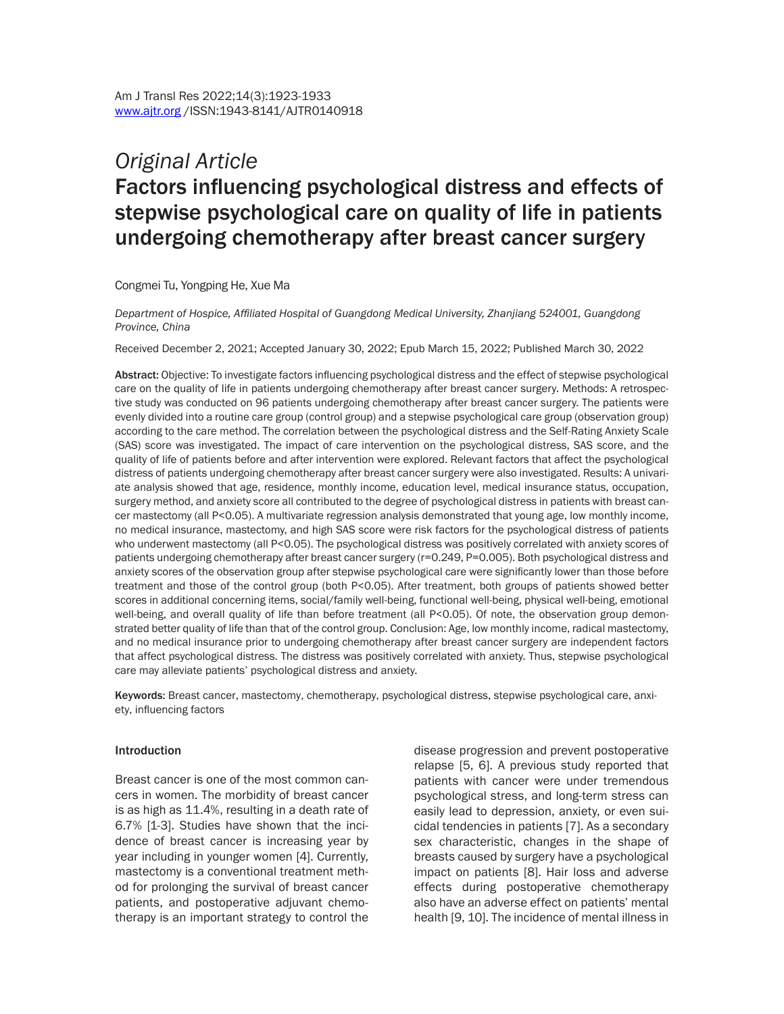# *Original Article* Factors influencing psychological distress and effects of stepwise psychological care on quality of life in patients undergoing chemotherapy after breast cancer surgery

Congmei Tu, Yongping He, Xue Ma

*Department of Hospice, Affiliated Hospital of Guangdong Medical University, Zhanjiang 524001, Guangdong Province, China*

Received December 2, 2021; Accepted January 30, 2022; Epub March 15, 2022; Published March 30, 2022

Abstract: Objective: To investigate factors influencing psychological distress and the effect of stepwise psychological care on the quality of life in patients undergoing chemotherapy after breast cancer surgery. Methods: A retrospective study was conducted on 96 patients undergoing chemotherapy after breast cancer surgery. The patients were evenly divided into a routine care group (control group) and a stepwise psychological care group (observation group) according to the care method. The correlation between the psychological distress and the Self-Rating Anxiety Scale (SAS) score was investigated. The impact of care intervention on the psychological distress, SAS score, and the quality of life of patients before and after intervention were explored. Relevant factors that affect the psychological distress of patients undergoing chemotherapy after breast cancer surgery were also investigated. Results: A univariate analysis showed that age, residence, monthly income, education level, medical insurance status, occupation, surgery method, and anxiety score all contributed to the degree of psychological distress in patients with breast cancer mastectomy (all P<0.05). A multivariate regression analysis demonstrated that young age, low monthly income, no medical insurance, mastectomy, and high SAS score were risk factors for the psychological distress of patients who underwent mastectomy (all P<0.05). The psychological distress was positively correlated with anxiety scores of patients undergoing chemotherapy after breast cancer surgery (r=0.249, P=0.005). Both psychological distress and anxiety scores of the observation group after stepwise psychological care were significantly lower than those before treatment and those of the control group (both P<0.05). After treatment, both groups of patients showed better scores in additional concerning items, social/family well-being, functional well-being, physical well-being, emotional well-being, and overall quality of life than before treatment (all P<0.05). Of note, the observation group demonstrated better quality of life than that of the control group. Conclusion: Age, low monthly income, radical mastectomy, and no medical insurance prior to undergoing chemotherapy after breast cancer surgery are independent factors that affect psychological distress. The distress was positively correlated with anxiety. Thus, stepwise psychological care may alleviate patients' psychological distress and anxiety.

Keywords: Breast cancer, mastectomy, chemotherapy, psychological distress, stepwise psychological care, anxiety, influencing factors

#### Introduction

Breast cancer is one of the most common cancers in women. The morbidity of breast cancer is as high as 11.4%, resulting in a death rate of 6.7% [1-3]. Studies have shown that the incidence of breast cancer is increasing year by year including in younger women [4]. Currently, mastectomy is a conventional treatment method for prolonging the survival of breast cancer patients, and postoperative adjuvant chemotherapy is an important strategy to control the

disease progression and prevent postoperative relapse [5, 6]. A previous study reported that patients with cancer were under tremendous psychological stress, and long-term stress can easily lead to depression, anxiety, or even suicidal tendencies in patients [7]. As a secondary sex characteristic, changes in the shape of breasts caused by surgery have a psychological impact on patients [8]. Hair loss and adverse effects during postoperative chemotherapy also have an adverse effect on patients' mental health [9, 10]. The incidence of mental illness in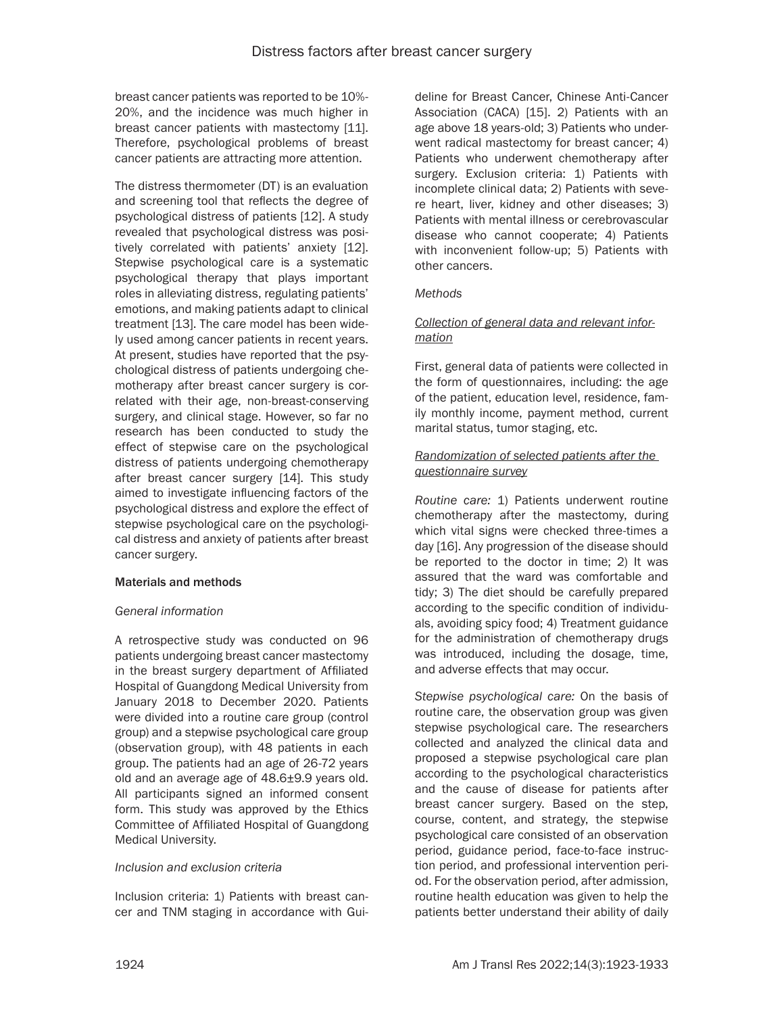breast cancer patients was reported to be 10%- 20%, and the incidence was much higher in breast cancer patients with mastectomy [11]. Therefore, psychological problems of breast cancer patients are attracting more attention.

The distress thermometer (DT) is an evaluation and screening tool that reflects the degree of psychological distress of patients [12]. A study revealed that psychological distress was positively correlated with patients' anxiety [12]. Stepwise psychological care is a systematic psychological therapy that plays important roles in alleviating distress, regulating patients' emotions, and making patients adapt to clinical treatment [13]. The care model has been widely used among cancer patients in recent years. At present, studies have reported that the psychological distress of patients undergoing chemotherapy after breast cancer surgery is correlated with their age, non-breast-conserving surgery, and clinical stage. However, so far no research has been conducted to study the effect of stepwise care on the psychological distress of patients undergoing chemotherapy after breast cancer surgery [14]. This study aimed to investigate influencing factors of the psychological distress and explore the effect of stepwise psychological care on the psychological distress and anxiety of patients after breast cancer surgery.

#### Materials and methods

#### *General information*

A retrospective study was conducted on 96 patients undergoing breast cancer mastectomy in the breast surgery department of Affiliated Hospital of Guangdong Medical University from January 2018 to December 2020. Patients were divided into a routine care group (control group) and a stepwise psychological care group (observation group), with 48 patients in each group. The patients had an age of 26-72 years old and an average age of 48.6±9.9 years old. All participants signed an informed consent form. This study was approved by the Ethics Committee of Affiliated Hospital of Guangdong Medical University.

#### *Inclusion and exclusion criteria*

Inclusion criteria: 1) Patients with breast cancer and TNM staging in accordance with Guideline for Breast Cancer, Chinese Anti-Cancer Association (CACA) [15]. 2) Patients with an age above 18 years-old; 3) Patients who underwent radical mastectomy for breast cancer; 4) Patients who underwent chemotherapy after surgery. Exclusion criteria: 1) Patients with incomplete clinical data; 2) Patients with severe heart, liver, kidney and other diseases; 3) Patients with mental illness or cerebrovascular disease who cannot cooperate; 4) Patients with inconvenient follow-up; 5) Patients with other cancers.

#### *Methods*

### *Collection of general data and relevant information*

First, general data of patients were collected in the form of questionnaires, including: the age of the patient, education level, residence, family monthly income, payment method, current marital status, tumor staging, etc.

#### *Randomization of selected patients after the questionnaire survey*

*Routine care:* 1) Patients underwent routine chemotherapy after the mastectomy, during which vital signs were checked three-times a day [16]. Any progression of the disease should be reported to the doctor in time; 2) It was assured that the ward was comfortable and tidy; 3) The diet should be carefully prepared according to the specific condition of individuals, avoiding spicy food; 4) Treatment guidance for the administration of chemotherapy drugs was introduced, including the dosage, time, and adverse effects that may occur.

*Stepwise psychological care:* On the basis of routine care, the observation group was given stepwise psychological care. The researchers collected and analyzed the clinical data and proposed a stepwise psychological care plan according to the psychological characteristics and the cause of disease for patients after breast cancer surgery. Based on the step, course, content, and strategy, the stepwise psychological care consisted of an observation period, guidance period, face-to-face instruction period, and professional intervention period. For the observation period, after admission, routine health education was given to help the patients better understand their ability of daily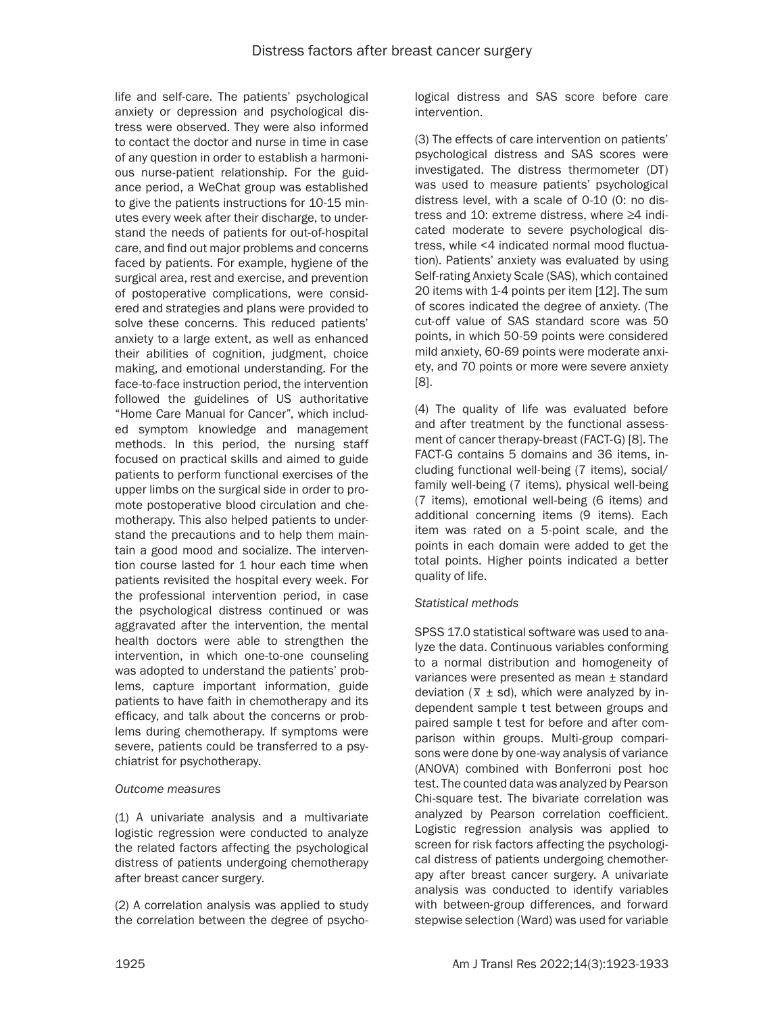life and self-care. The patients' psychological anxiety or depression and psychological distress were observed. They were also informed to contact the doctor and nurse in time in case of any question in order to establish a harmonious nurse-patient relationship. For the guidance period, a WeChat group was established to give the patients instructions for 10-15 minutes every week after their discharge, to understand the needs of patients for out-of-hospital care, and find out major problems and concerns faced by patients. For example, hygiene of the surgical area, rest and exercise, and prevention of postoperative complications, were considered and strategies and plans were provided to solve these concerns. This reduced patients' anxiety to a large extent, as well as enhanced their abilities of cognition, judgment, choice making, and emotional understanding. For the face-to-face instruction period, the intervention followed the guidelines of US authoritative "Home Care Manual for Cancer", which included symptom knowledge and management methods. In this period, the nursing staff focused on practical skills and aimed to guide patients to perform functional exercises of the upper limbs on the surgical side in order to promote postoperative blood circulation and chemotherapy. This also helped patients to understand the precautions and to help them maintain a good mood and socialize. The intervention course lasted for 1 hour each time when patients revisited the hospital every week. For the professional intervention period, in case the psychological distress continued or was aggravated after the intervention, the mental health doctors were able to strengthen the intervention, in which one-to-one counseling was adopted to understand the patients' problems, capture important information, guide patients to have faith in chemotherapy and its efficacy, and talk about the concerns or problems during chemotherapy. If symptoms were severe, patients could be transferred to a psychiatrist for psychotherapy.

#### *Outcome measures*

(1) A univariate analysis and a multivariate logistic regression were conducted to analyze the related factors affecting the psychological distress of patients undergoing chemotherapy after breast cancer surgery.

(2) A correlation analysis was applied to study the correlation between the degree of psychological distress and SAS score before care intervention.

(3) The effects of care intervention on patients' psychological distress and SAS scores were investigated. The distress thermometer (DT) was used to measure patients' psychological distress level, with a scale of 0-10 (0: no distress and 10: extreme distress, where ≥4 indicated moderate to severe psychological distress, while <4 indicated normal mood fluctuation). Patients' anxiety was evaluated by using Self-rating Anxiety Scale (SAS), which contained 20 items with 1-4 points per item [12]. The sum of scores indicated the degree of anxiety. (The cut-off value of SAS standard score was 50 points, in which 50-59 points were considered mild anxiety, 60-69 points were moderate anxiety, and 70 points or more were severe anxiety [8].

(4) The quality of life was evaluated before and after treatment by the functional assessment of cancer therapy-breast (FACT-G) [8]. The FACT-G contains 5 domains and 36 items, including functional well-being (7 items), social/ family well-being (7 items), physical well-being (7 items), emotional well-being (6 items) and additional concerning items (9 items). Each item was rated on a 5-point scale, and the points in each domain were added to get the total points. Higher points indicated a better quality of life.

#### *Statistical methods*

SPSS 17.0 statistical software was used to analyze the data. Continuous variables conforming to a normal distribution and homogeneity of variances were presented as mean ± standard variances were presented as mean  $\pm$  standard deviation ( $\overline{x}$   $\pm$  sd), which were analyzed by independent sample t test between groups and paired sample t test for before and after comparison within groups. Multi-group comparisons were done by one-way analysis of variance (ANOVA) combined with Bonferroni post hoc test. The counted data was analyzed by Pearson Chi-square test. The bivariate correlation was analyzed by Pearson correlation coefficient. Logistic regression analysis was applied to screen for risk factors affecting the psychological distress of patients undergoing chemotherapy after breast cancer surgery. A univariate analysis was conducted to identify variables with between-group differences, and forward stepwise selection (Ward) was used for variable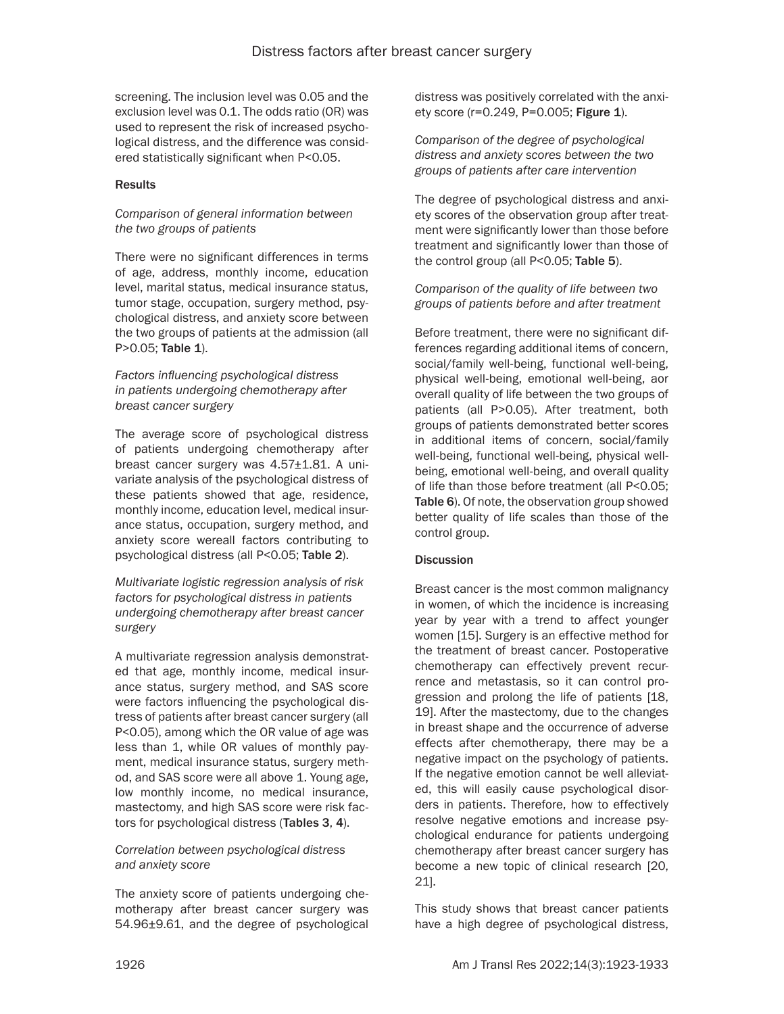screening. The inclusion level was 0.05 and the exclusion level was 0.1. The odds ratio (OR) was used to represent the risk of increased psychological distress, and the difference was considered statistically significant when P<0.05.

#### Results

#### *Comparison of general information between the two groups of patients*

There were no significant differences in terms of age, address, monthly income, education level, marital status, medical insurance status, tumor stage, occupation, surgery method, psychological distress, and anxiety score between the two groups of patients at the admission (all P>0.05; Table 1).

### *Factors influencing psychological distress in patients undergoing chemotherapy after breast cancer surgery*

The average score of psychological distress of patients undergoing chemotherapy after breast cancer surgery was 4.57±1.81. A univariate analysis of the psychological distress of these patients showed that age, residence, monthly income, education level, medical insurance status, occupation, surgery method, and anxiety score wereall factors contributing to psychological distress (all P<0.05; Table 2).

*Multivariate logistic regression analysis of risk factors for psychological distress in patients undergoing chemotherapy after breast cancer surgery*

A multivariate regression analysis demonstrated that age, monthly income, medical insurance status, surgery method, and SAS score were factors influencing the psychological distress of patients after breast cancer surgery (all P<0.05), among which the OR value of age was less than 1, while OR values of monthly payment, medical insurance status, surgery method, and SAS score were all above 1. Young age, low monthly income, no medical insurance, mastectomy, and high SAS score were risk factors for psychological distress (Tables 3, 4).

### *Correlation between psychological distress and anxiety score*

The anxiety score of patients undergoing chemotherapy after breast cancer surgery was 54.96±9.61, and the degree of psychological distress was positively correlated with the anxiety score (r=0.249, P=0.005; Figure 1).

*Comparison of the degree of psychological distress and anxiety scores between the two groups of patients after care intervention*

The degree of psychological distress and anxiety scores of the observation group after treatment were significantly lower than those before treatment and significantly lower than those of the control group (all P<0.05; Table 5).

*Comparison of the quality of life between two groups of patients before and after treatment*

Before treatment, there were no significant differences regarding additional items of concern, social/family well-being, functional well-being, physical well-being, emotional well-being, aor overall quality of life between the two groups of patients (all P>0.05). After treatment, both groups of patients demonstrated better scores in additional items of concern, social/family well-being, functional well-being, physical wellbeing, emotional well-being, and overall quality of life than those before treatment (all P<0.05; Table 6). Of note, the observation group showed better quality of life scales than those of the control group.

#### **Discussion**

Breast cancer is the most common malignancy in women, of which the incidence is increasing year by year with a trend to affect younger women [15]. Surgery is an effective method for the treatment of breast cancer. Postoperative chemotherapy can effectively prevent recurrence and metastasis, so it can control progression and prolong the life of patients [18, 19]. After the mastectomy, due to the changes in breast shape and the occurrence of adverse effects after chemotherapy, there may be a negative impact on the psychology of patients. If the negative emotion cannot be well alleviated, this will easily cause psychological disorders in patients. Therefore, how to effectively resolve negative emotions and increase psychological endurance for patients undergoing chemotherapy after breast cancer surgery has become a new topic of clinical research [20, 21].

This study shows that breast cancer patients have a high degree of psychological distress,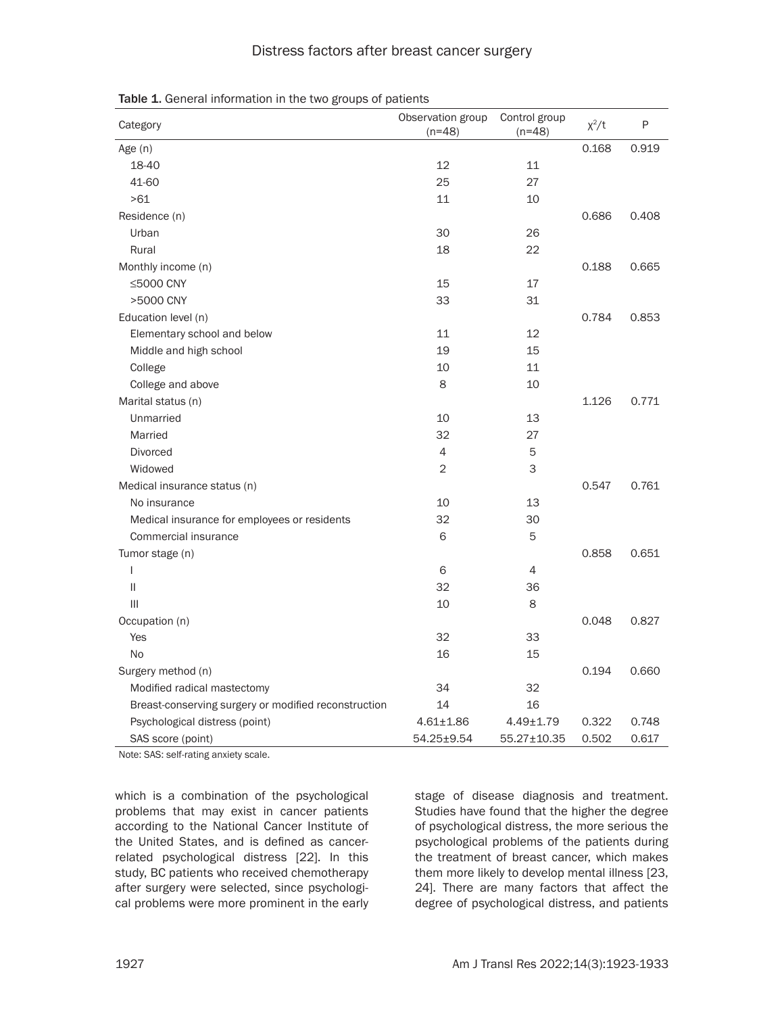### Distress factors after breast cancer surgery

| Category                                             | Observation group<br>$(n=48)$ | Control group<br>$(n=48)$ | $\chi^2/t$ | P     |
|------------------------------------------------------|-------------------------------|---------------------------|------------|-------|
| Age (n)                                              |                               |                           | 0.168      | 0.919 |
| 18-40                                                | 12                            | 11                        |            |       |
| 41-60                                                | 25                            | 27                        |            |       |
| >61                                                  | 11                            | 10                        |            |       |
| Residence (n)                                        |                               |                           | 0.686      | 0.408 |
| Urban                                                | 30                            | 26                        |            |       |
| Rural                                                | 18                            | 22                        |            |       |
| Monthly income (n)                                   |                               |                           | 0.188      | 0.665 |
| ≤5000 CNY                                            | 15                            | 17                        |            |       |
| >5000 CNY                                            | 33                            | 31                        |            |       |
| Education level (n)                                  |                               |                           | 0.784      | 0.853 |
| Elementary school and below                          | 11                            | 12                        |            |       |
| Middle and high school                               | 19                            | 15                        |            |       |
| College                                              | 10                            | 11                        |            |       |
| College and above                                    | 8                             | 10                        |            |       |
| Marital status (n)                                   |                               |                           | 1.126      | 0.771 |
| Unmarried                                            | 10                            | 13                        |            |       |
| Married                                              | 32                            | 27                        |            |       |
| <b>Divorced</b>                                      | 4                             | 5                         |            |       |
| Widowed                                              | 2                             | 3                         |            |       |
| Medical insurance status (n)                         |                               |                           | 0.547      | 0.761 |
| No insurance                                         | 10                            | 13                        |            |       |
| Medical insurance for employees or residents         | 32                            | 30                        |            |       |
| Commercial insurance                                 | 6                             | 5                         |            |       |
| Tumor stage (n)                                      |                               |                           | 0.858      | 0.651 |
| $\overline{1}$                                       | 6                             | 4                         |            |       |
| $\mathbf{II}$                                        | 32                            | 36                        |            |       |
| $\mathbf{III}$                                       | 10                            | 8                         |            |       |
| Occupation (n)                                       |                               |                           | 0.048      | 0.827 |
| Yes                                                  | 32                            | 33                        |            |       |
| No                                                   | 16                            | 15                        |            |       |
| Surgery method (n)                                   |                               |                           | 0.194      | 0.660 |
| Modified radical mastectomy                          | 34                            | 32                        |            |       |
| Breast-conserving surgery or modified reconstruction | 14                            | 16                        |            |       |
| Psychological distress (point)                       | $4.61 \pm 1.86$               | $4.49 \pm 1.79$           | 0.322      | 0.748 |
| SAS score (point)                                    | 54.25±9.54                    | 55.27±10.35               | 0.502      | 0.617 |

Table 1. General information in the two groups of patients

Note: SAS: self-rating anxiety scale.

which is a combination of the psychological problems that may exist in cancer patients according to the National Cancer Institute of the United States, and is defined as cancerrelated psychological distress [22]. In this study, BC patients who received chemotherapy after surgery were selected, since psychological problems were more prominent in the early stage of disease diagnosis and treatment. Studies have found that the higher the degree of psychological distress, the more serious the psychological problems of the patients during the treatment of breast cancer, which makes them more likely to develop mental illness [23, 24]. There are many factors that affect the degree of psychological distress, and patients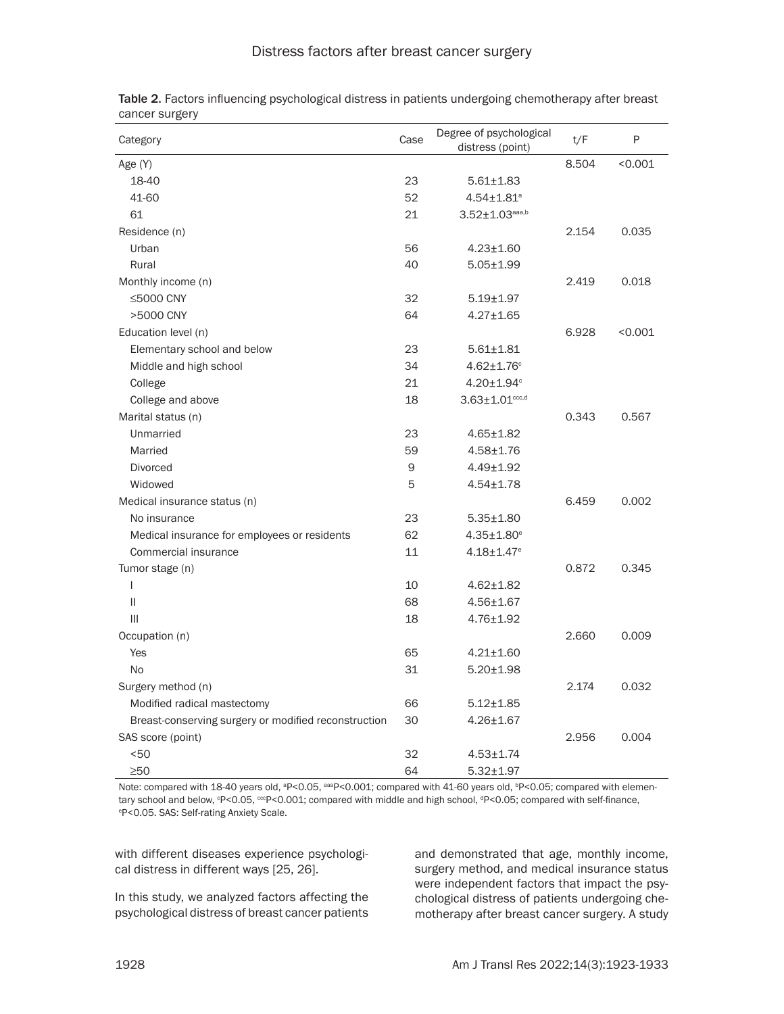| Category                                             | Case | Degree of psychological<br>distress (point) | t/F   | P       |
|------------------------------------------------------|------|---------------------------------------------|-------|---------|
| Age (Y)                                              |      |                                             | 8.504 | < 0.001 |
| 18-40                                                | 23   | $5.61 \pm 1.83$                             |       |         |
| 41-60                                                | 52   | $4.54 \pm 1.81$ <sup>a</sup>                |       |         |
| 61                                                   | 21   | $3.52 \pm 1.03^{aaaa,b}$                    |       |         |
| Residence (n)                                        |      |                                             | 2.154 | 0.035   |
| Urban                                                | 56   | $4.23 \pm 1.60$                             |       |         |
| Rural                                                | 40   | $5.05 \pm 1.99$                             |       |         |
| Monthly income (n)                                   |      |                                             | 2.419 | 0.018   |
| ≤5000 CNY                                            | 32   | $5.19 \pm 1.97$                             |       |         |
| >5000 CNY                                            | 64   | $4.27 \pm 1.65$                             |       |         |
| Education level (n)                                  |      |                                             | 6.928 | < 0.001 |
| Elementary school and below                          | 23   | $5.61 \pm 1.81$                             |       |         |
| Middle and high school                               | 34   | $4.62 \pm 1.76$ °                           |       |         |
| College                                              | 21   | $4.20 \pm 1.94$ <sup>c</sup>                |       |         |
| College and above                                    | 18   | $3.63 \pm 1.01$ <sub>ccc,d</sub>            |       |         |
| Marital status (n)                                   |      |                                             | 0.343 | 0.567   |
| Unmarried                                            | 23   | $4.65 \pm 1.82$                             |       |         |
| Married                                              | 59   | $4.58 + 1.76$                               |       |         |
| <b>Divorced</b>                                      | 9    | 4.49±1.92                                   |       |         |
| Widowed                                              | 5    | $4.54 \pm 1.78$                             |       |         |
| Medical insurance status (n)                         |      |                                             | 6.459 | 0.002   |
| No insurance                                         | 23   | $5.35 \pm 1.80$                             |       |         |
| Medical insurance for employees or residents         | 62   | $4.35 \pm 1.80^e$                           |       |         |
| Commercial insurance                                 | 11   | $4.18 \pm 1.47$ <sup>e</sup>                |       |         |
| Tumor stage (n)                                      |      |                                             | 0.872 | 0.345   |
| $\overline{1}$                                       | 10   | $4.62 \pm 1.82$                             |       |         |
| $\vert\vert$                                         | 68   | $4.56 \pm 1.67$                             |       |         |
| $\mathbf{III}$                                       | 18   | $4.76 \pm 1.92$                             |       |         |
| Occupation (n)                                       |      |                                             | 2.660 | 0.009   |
| Yes                                                  | 65   | $4.21 \pm 1.60$                             |       |         |
| <b>No</b>                                            | 31   | $5.20 \pm 1.98$                             |       |         |
| Surgery method (n)                                   |      |                                             | 2.174 | 0.032   |
| Modified radical mastectomy                          | 66   | $5.12 \pm 1.85$                             |       |         |
| Breast-conserving surgery or modified reconstruction | 30   | $4.26 \pm 1.67$                             |       |         |
| SAS score (point)                                    |      |                                             | 2.956 | 0.004   |
| < 50                                                 | 32   | $4.53 + 1.74$                               |       |         |
| $\geq 50$                                            | 64   | $5.32 + 1.97$                               |       |         |

Table 2. Factors influencing psychological distress in patients undergoing chemotherapy after breast

Note: compared with 18-40 years old, ªP<0.05, ªªªP<0.001; compared with 41-60 years old, ʰP<0.05; compared with elementary school and below, °P<0.05, °°P<0.001; compared with middle and high school, <sup>d</sup>P<0.05; compared with self-finance, e P<0.05. SAS: Self-rating Anxiety Scale.

with different diseases experience psychological distress in different ways [25, 26].

In this study, we analyzed factors affecting the psychological distress of breast cancer patients

and demonstrated that age, monthly income, surgery method, and medical insurance status were independent factors that impact the psychological distress of patients undergoing chemotherapy after breast cancer surgery. A study

cancer surgery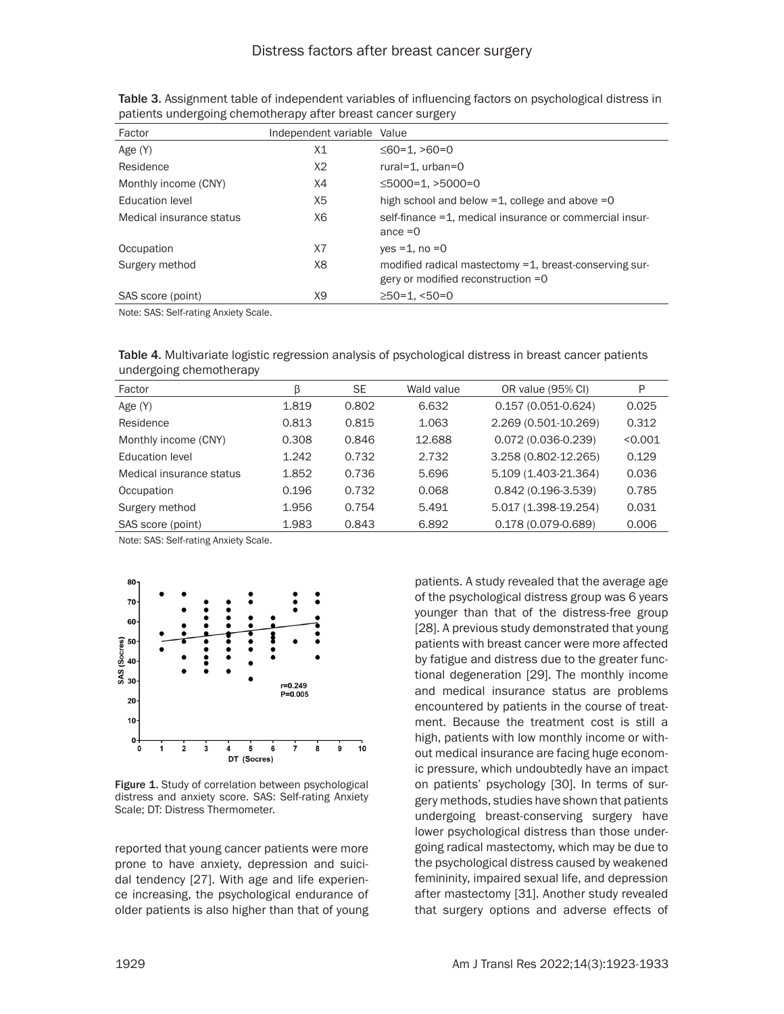| Factor                   | Independent variable Value |                                                                                                |
|--------------------------|----------------------------|------------------------------------------------------------------------------------------------|
| Age (Y)                  | X1                         | $\leq 60 = 1, > 60 = 0$                                                                        |
| Residence                | X2                         | rural= $1.$ urban= $0$                                                                         |
| Monthly income (CNY)     | X4                         | $\leq$ 5000=1, >5000=0                                                                         |
| Education level          | X <sub>5</sub>             | high school and below $=1$ , college and above $=0$                                            |
| Medical insurance status | X6                         | self-finance = 1, medical insurance or commercial insur-<br>ance $=0$                          |
| Occupation               | X <sub>7</sub>             | $ves = 1, no = 0$                                                                              |
| Surgery method           | X8                         | modified radical mastectomy =1, breast-conserving sur-<br>gery or modified reconstruction $=0$ |
| SAS score (point)        | X9                         | $\geq$ 50=1. <50=0                                                                             |

Table 3. Assignment table of independent variables of influencing factors on psychological distress in patients undergoing chemotherapy after breast cancer surgery

Note: SAS: Self-rating Anxiety Scale.

Table 4. Multivariate logistic regression analysis of psychological distress in breast cancer patients undergoing chemotherapy

| Factor                   | β     | <b>SE</b> | Wald value | OR value (95% CI)      | P       |
|--------------------------|-------|-----------|------------|------------------------|---------|
| Age (Y)                  | 1.819 | 0.802     | 6.632      | 0.157 (0.051-0.624)    | 0.025   |
| Residence                | 0.813 | 0.815     | 1.063      | 2.269 (0.501-10.269)   | 0.312   |
| Monthly income (CNY)     | 0.308 | 0.846     | 12.688     | $0.072(0.036 - 0.239)$ | < 0.001 |
| Education level          | 1.242 | 0.732     | 2.732      | 3.258 (0.802-12.265)   | 0.129   |
| Medical insurance status | 1.852 | 0.736     | 5.696      | 5.109 (1.403-21.364)   | 0.036   |
| Occupation               | 0.196 | 0.732     | 0.068      | $0.842(0.196-3.539)$   | 0.785   |
| Surgery method           | 1.956 | 0.754     | 5.491      | 5.017 (1.398-19.254)   | 0.031   |
| SAS score (point)        | 1.983 | 0.843     | 6.892      | 0.178 (0.079-0.689)    | 0.006   |

Note: SAS: Self-rating Anxiety Scale.



Figure 1. Study of correlation between psychological distress and anxiety score. SAS: Self-rating Anxiety Scale; DT: Distress Thermometer.

reported that young cancer patients were more prone to have anxiety, depression and suicidal tendency [27]. With age and life experience increasing, the psychological endurance of older patients is also higher than that of young

patients. A study revealed that the average age of the psychological distress group was 6 years younger than that of the distress-free group [28]. A previous study demonstrated that young patients with breast cancer were more affected by fatigue and distress due to the greater functional degeneration [29]. The monthly income and medical insurance status are problems encountered by patients in the course of treatment. Because the treatment cost is still a high, patients with low monthly income or without medical insurance are facing huge economic pressure, which undoubtedly have an impact on patients' psychology [30]. In terms of surgery methods, studies have shown that patients undergoing breast-conserving surgery have lower psychological distress than those undergoing radical mastectomy, which may be due to the psychological distress caused by weakened femininity, impaired sexual life, and depression after mastectomy [31]. Another study revealed that surgery options and adverse effects of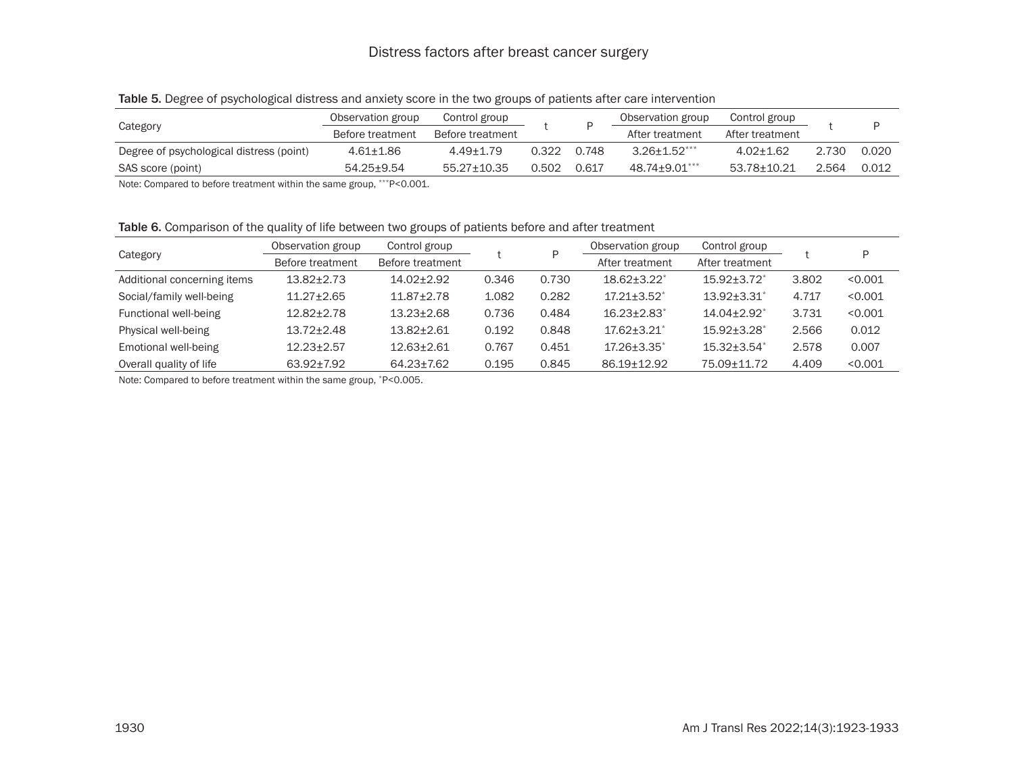## Distress factors after breast cancer surgery

|                                          | Observation group | Control group     |       |       | Observation group | Control group   |       |       |
|------------------------------------------|-------------------|-------------------|-------|-------|-------------------|-----------------|-------|-------|
| Category                                 | Before treatment  | Before treatment  |       |       | After treatment   | After treatment |       |       |
| Degree of psychological distress (point) | 4.61+1.86         | $4.49 \pm 1.79$   | 0.322 | 0.748 | $3.26 + 1.52***$  | $4.02 + 1.62$   | 2.730 | 0.020 |
| SAS score (point)                        | 54.25+9.54        | $55.27 \pm 10.35$ | 0.502 | 0.617 | 48.74±9.01***     | 53.78+10.21     | 2.564 | 0.012 |

#### Table 5. Degree of psychological distress and anxiety score in the two groups of patients after care intervention

Note: Compared to before treatment within the same group, \*\*\*P<0.001.

Table 6. Comparison of the quality of life between two groups of patients before and after treatment

| Category                    | Observation group | Control group    |       | D     | Observation group           | Control group                 |       |         |
|-----------------------------|-------------------|------------------|-------|-------|-----------------------------|-------------------------------|-------|---------|
|                             | Before treatment  | Before treatment |       |       | After treatment             | After treatment               |       |         |
| Additional concerning items | $13.82 \pm 2.73$  | 14.02+2.92       | 0.346 | 0.730 | $18.62 + 3.22^*$            | $15.92 + 3.72$ <sup>*</sup>   | 3.802 | < 0.001 |
| Social/family well-being    | $11.27 \pm 2.65$  | $11.87 \pm 2.78$ | 1.082 | 0.282 | $17.21 \pm 3.52^*$          | $13.92 \pm 3.31^*$            | 4.717 | < 0.001 |
| Functional well-being       | $12.82 \pm 2.78$  | $13.23 \pm 2.68$ | 0.736 | 0.484 | $16.23 + 2.83$ <sup>*</sup> | $14.04 \pm 2.92$ <sup>*</sup> | 3.731 | < 0.001 |
| Physical well-being         | $13.72 + 2.48$    | $13.82 + 2.61$   | 0.192 | 0.848 | $17.62 + 3.21$ *            | $15.92 + 3.28$ <sup>*</sup>   | 2.566 | 0.012   |
| Emotional well-being        | $12.23 \pm 2.57$  | $12.63 + 2.61$   | 0.767 | 0.451 | $17.26 \pm 3.35^*$          | $15.32 \pm 3.54$ <sup>*</sup> | 2.578 | 0.007   |
| Overall quality of life     | 63.92±7.92        | 64.23±7.62       | 0.195 | 0.845 | 86.19±12.92                 | 75.09±11.72                   | 4.409 | < 0.001 |

Note: Compared to before treatment within the same group, \*P<0.005.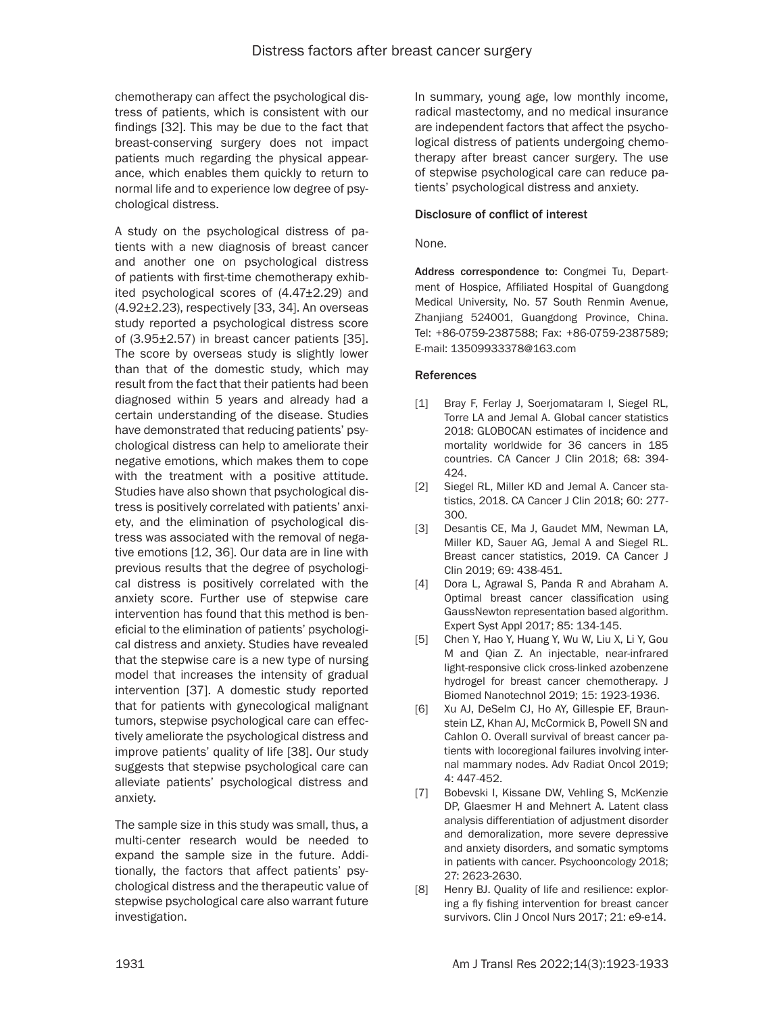chemotherapy can affect the psychological distress of patients, which is consistent with our findings [32]. This may be due to the fact that breast-conserving surgery does not impact patients much regarding the physical appearance, which enables them quickly to return to normal life and to experience low degree of psychological distress.

A study on the psychological distress of patients with a new diagnosis of breast cancer and another one on psychological distress of patients with first-time chemotherapy exhibited psychological scores of (4.47±2.29) and (4.92±2.23), respectively [33, 34]. An overseas study reported a psychological distress score of (3.95±2.57) in breast cancer patients [35]. The score by overseas study is slightly lower than that of the domestic study, which may result from the fact that their patients had been diagnosed within 5 years and already had a certain understanding of the disease. Studies have demonstrated that reducing patients' psychological distress can help to ameliorate their negative emotions, which makes them to cope with the treatment with a positive attitude. Studies have also shown that psychological distress is positively correlated with patients' anxiety, and the elimination of psychological distress was associated with the removal of negative emotions [12, 36]. Our data are in line with previous results that the degree of psychological distress is positively correlated with the anxiety score. Further use of stepwise care intervention has found that this method is beneficial to the elimination of patients' psychological distress and anxiety. Studies have revealed that the stepwise care is a new type of nursing model that increases the intensity of gradual intervention [37]. A domestic study reported that for patients with gynecological malignant tumors, stepwise psychological care can effectively ameliorate the psychological distress and improve patients' quality of life [38]. Our study suggests that stepwise psychological care can alleviate patients' psychological distress and anxiety.

The sample size in this study was small, thus, a multi-center research would be needed to expand the sample size in the future. Additionally, the factors that affect patients' psychological distress and the therapeutic value of stepwise psychological care also warrant future investigation.

In summary, young age, low monthly income, radical mastectomy, and no medical insurance are independent factors that affect the psychological distress of patients undergoing chemotherapy after breast cancer surgery. The use of stepwise psychological care can reduce patients' psychological distress and anxiety.

#### Disclosure of conflict of interest

#### None.

Address correspondence to: Congmei Tu, Department of Hospice, Affiliated Hospital of Guangdong Medical University, No. 57 South Renmin Avenue, Zhanjiang 524001, Guangdong Province, China. Tel: +86-0759-2387588; Fax: +86-0759-2387589; E-mail: [13509933378@163.com](mailto:13509933378@163.com)

#### **References**

- [1] Bray F, Ferlay J, Soerjomataram I, Siegel RL, Torre LA and Jemal A. Global cancer statistics 2018: GLOBOCAN estimates of incidence and mortality worldwide for 36 cancers in 185 countries. CA Cancer J Clin 2018; 68: 394- 424.
- [2] Siegel RL, Miller KD and Jemal A. Cancer statistics, 2018. CA Cancer J Clin 2018; 60: 277- 300.
- [3] Desantis CE, Ma J, Gaudet MM, Newman LA, Miller KD, Sauer AG, Jemal A and Siegel RL. Breast cancer statistics, 2019. CA Cancer J Clin 2019; 69: 438-451.
- [4] Dora L, Agrawal S, Panda R and Abraham A. Optimal breast cancer classification using GaussNewton representation based algorithm. Expert Syst Appl 2017; 85: 134-145.
- [5] Chen Y, Hao Y, Huang Y, Wu W, Liu X, Li Y, Gou M and Qian Z. An injectable, near-infrared light-responsive click cross-linked azobenzene hydrogel for breast cancer chemotherapy. J Biomed Nanotechnol 2019; 15: 1923-1936.
- [6] Xu AJ, DeSelm CJ, Ho AY, Gillespie EF, Braunstein LZ, Khan AJ, McCormick B, Powell SN and Cahlon O. Overall survival of breast cancer patients with locoregional failures involving internal mammary nodes. Adv Radiat Oncol 2019; 4: 447-452.
- [7] Bobevski I, Kissane DW, Vehling S, McKenzie DP, Glaesmer H and Mehnert A. Latent class analysis differentiation of adjustment disorder and demoralization, more severe depressive and anxiety disorders, and somatic symptoms in patients with cancer. Psychooncology 2018; 27: 2623-2630.
- [8] Henry BJ. Quality of life and resilience: exploring a fly fishing intervention for breast cancer survivors. Clin J Oncol Nurs 2017; 21: e9-e14.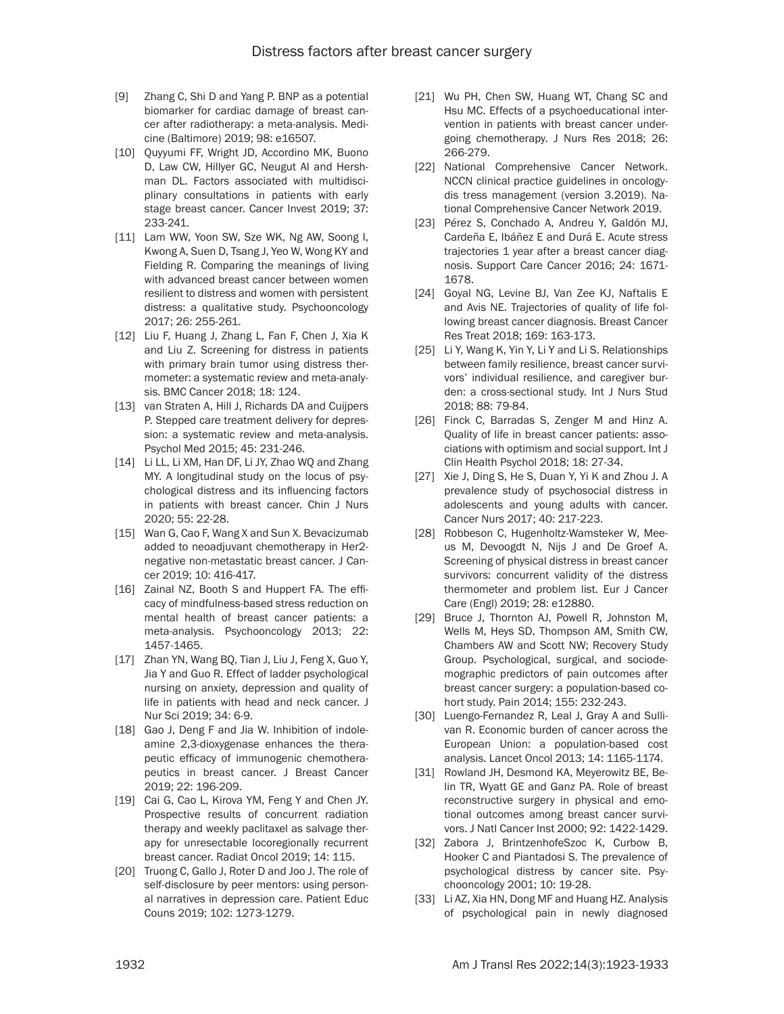- [9] Zhang C, Shi D and Yang P. BNP as a potential biomarker for cardiac damage of breast cancer after radiotherapy: a meta-analysis. Medicine (Baltimore) 2019; 98: e16507.
- [10] Quyyumi FF, Wright JD, Accordino MK, Buono D, Law CW, Hillyer GC, Neugut AI and Hershman DL. Factors associated with multidisciplinary consultations in patients with early stage breast cancer. Cancer Invest 2019; 37: 233-241.
- [11] Lam WW, Yoon SW, Sze WK, Ng AW, Soong I, Kwong A, Suen D, Tsang J, Yeo W, Wong KY and Fielding R. Comparing the meanings of living with advanced breast cancer between women resilient to distress and women with persistent distress: a qualitative study. Psychooncology 2017; 26: 255-261.
- [12] Liu F, Huang J, Zhang L, Fan F, Chen J, Xia K and Liu Z. Screening for distress in patients with primary brain tumor using distress thermometer: a systematic review and meta-analysis. BMC Cancer 2018; 18: 124.
- [13] van Straten A, Hill J, Richards DA and Cuijpers P. Stepped care treatment delivery for depression: a systematic review and meta-analysis. Psychol Med 2015; 45: 231-246.
- [14] Li LL, Li XM, Han DF, Li JY, Zhao WQ and Zhang MY. A longitudinal study on the locus of psychological distress and its influencing factors in patients with breast cancer. Chin J Nurs 2020; 55: 22-28.
- [15] Wan G, Cao F, Wang X and Sun X. Bevacizumab added to neoadjuvant chemotherapy in Her2 negative non-metastatic breast cancer. J Cancer 2019; 10: 416-417.
- [16] Zainal NZ, Booth S and Huppert FA. The efficacy of mindfulness-based stress reduction on mental health of breast cancer patients: a meta-analysis. Psychooncology 2013; 22: 1457-1465.
- [17] Zhan YN, Wang BQ, Tian J, Liu J, Feng X, Guo Y, Jia Y and Guo R. Effect of ladder psychological nursing on anxiety, depression and quality of life in patients with head and neck cancer. J Nur Sci 2019; 34: 6-9.
- [18] Gao J, Deng F and Jia W. Inhibition of indoleamine 2,3-dioxygenase enhances the therapeutic efficacy of immunogenic chemotherapeutics in breast cancer. J Breast Cancer 2019; 22: 196-209.
- [19] Cai G, Cao L, Kirova YM, Feng Y and Chen JY. Prospective results of concurrent radiation therapy and weekly paclitaxel as salvage therapy for unresectable locoregionally recurrent breast cancer. Radiat Oncol 2019; 14: 115.
- [20] Truong C, Gallo J, Roter D and Joo J. The role of self-disclosure by peer mentors: using personal narratives in depression care. Patient Educ Couns 2019; 102: 1273-1279.
- [21] Wu PH, Chen SW, Huang WT, Chang SC and Hsu MC. Effects of a psychoeducational intervention in patients with breast cancer undergoing chemotherapy. J Nurs Res 2018; 26: 266-279.
- [22] National Comprehensive Cancer Network. NCCN clinical practice guidelines in oncologydis tress management (version 3.2019). National Comprehensive Cancer Network 2019.
- [23] Pérez S, Conchado A, Andreu Y, Galdón MJ, Cardeña E, Ibáñez E and Durá E. Acute stress trajectories 1 year after a breast cancer diagnosis. Support Care Cancer 2016; 24: 1671- 1678.
- [24] Goyal NG, Levine BJ, Van Zee KJ, Naftalis E and Avis NE. Trajectories of quality of life following breast cancer diagnosis. Breast Cancer Res Treat 2018; 169: 163-173.
- [25] Li Y, Wang K, Yin Y, Li Y and Li S. Relationships between family resilience, breast cancer survivors' individual resilience, and caregiver burden: a cross-sectional study. Int J Nurs Stud 2018; 88: 79-84.
- [26] Finck C, Barradas S, Zenger M and Hinz A. Quality of life in breast cancer patients: associations with optimism and social support. Int J Clin Health Psychol 2018; 18: 27-34.
- [27] Xie J, Ding S, He S, Duan Y, Yi K and Zhou J. A prevalence study of psychosocial distress in adolescents and young adults with cancer. Cancer Nurs 2017; 40: 217-223.
- [28] Robbeson C, Hugenholtz-Wamsteker W, Meeus M, Devoogdt N, Nijs J and De Groef A. Screening of physical distress in breast cancer survivors: concurrent validity of the distress thermometer and problem list. Eur J Cancer Care (Engl) 2019; 28: e12880.
- [29] Bruce J, Thornton AJ, Powell R, Johnston M, Wells M, Heys SD, Thompson AM, Smith CW, Chambers AW and Scott NW; Recovery Study Group. Psychological, surgical, and sociodemographic predictors of pain outcomes after breast cancer surgery: a population-based cohort study. Pain 2014; 155: 232-243.
- [30] Luengo-Fernandez R, Leal J, Gray A and Sullivan R. Economic burden of cancer across the European Union: a population-based cost analysis. Lancet Oncol 2013; 14: 1165-1174.
- [31] Rowland JH, Desmond KA, Meyerowitz BE, Belin TR, Wyatt GE and Ganz PA. Role of breast reconstructive surgery in physical and emotional outcomes among breast cancer survivors. J Natl Cancer Inst 2000; 92: 1422-1429.
- [32] Zabora J, BrintzenhofeSzoc K, Curbow B, Hooker C and Piantadosi S. The prevalence of psychological distress by cancer site. Psychooncology 2001; 10: 19-28.
- [33] Li AZ, Xia HN, Dong MF and Huang HZ. Analysis of psychological pain in newly diagnosed